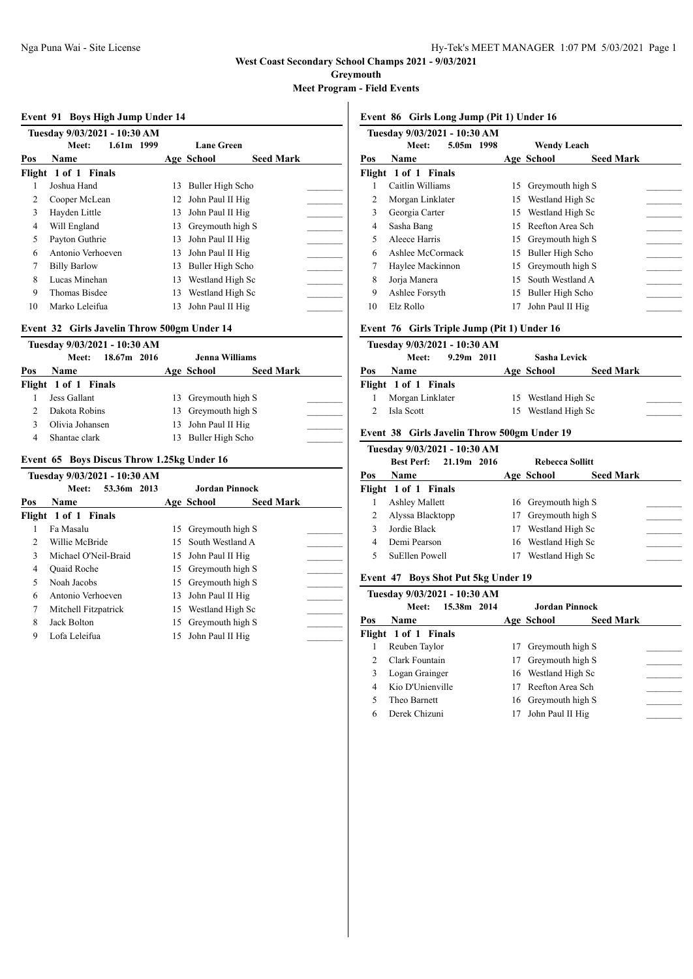**Greymouth**

**Meet Program - Field Events**

### **Event 91 Boys High Jump Under 14**

|     | Tuesday 9/03/2021 - 10:30 AM |     |                                |  |
|-----|------------------------------|-----|--------------------------------|--|
|     | 1.61m 1999<br>Meet:          |     | <b>Lane Green</b>              |  |
| Pos | <b>Name</b>                  |     | <b>Seed Mark</b><br>Age School |  |
|     | Flight 1 of 1 Finals         |     |                                |  |
|     | Joshua Hand                  | 13  | Buller High Scho               |  |
| 2   | Cooper McLean                |     | 12 John Paul II Hig            |  |
| 3   | Hayden Little                |     | 13 John Paul II Hig            |  |
| 4   | Will England                 | 13  | Greymouth high S               |  |
| 5   | Payton Guthrie               | 13  | John Paul II Hig               |  |
| 6   | Antonio Verhoeven            |     | 13 John Paul II Hig            |  |
| 7   | <b>Billy Barlow</b>          | 13  | Buller High Scho               |  |
| 8   | Lucas Minehan                | 13  | Westland High Sc               |  |
| 9   | Thomas Bisdee                | 13  | Westland High Sc               |  |
| 10  | Marko Leleifua               | 13. | John Paul II Hig               |  |

## **Event 32 Girls Javelin Throw 500gm Under 14**

|     | Tuesday 9/03/2021 - 10:30 AM |                       |                  |  |
|-----|------------------------------|-----------------------|------------------|--|
|     | 18.67m 2016<br>Meet:         | <b>Jenna Williams</b> |                  |  |
| Pos | <b>Name</b>                  | Age School            | <b>Seed Mark</b> |  |
|     | Flight 1 of 1 Finals         |                       |                  |  |
|     | Jess Gallant                 | 13 Greymouth high S   |                  |  |
| C.  | Dakota Robins                | 13 Greymouth high S   |                  |  |
|     | Olivia Johansen              | 13 John Paul II Hig   |                  |  |
| 4   | Shantae clark                | 13 Buller High Scho   |                  |  |

### **Event 65 Boys Discus Throw 1.25kg Under 16**

|                | Tuesday 9/03/2021 - 10:30 AM |     |                     |                  |  |
|----------------|------------------------------|-----|---------------------|------------------|--|
|                | 53.36m 2013<br>Meet:         |     | Jordan Pinnock      |                  |  |
| Pos            | <b>Name</b>                  |     | Age School          | <b>Seed Mark</b> |  |
|                | Flight 1 of 1 Finals         |     |                     |                  |  |
|                | Fa Masalu                    | 15  | Greymouth high S    |                  |  |
| $\mathfrak{D}$ | Willie McBride               |     | 15 South Westland A |                  |  |
| 3              | Michael O'Neil-Braid         |     | 15 John Paul II Hig |                  |  |
| 4              | Quaid Roche                  | 15  | Greymouth high S    |                  |  |
| 5              | Noah Jacobs                  | 15  | Greymouth high S    |                  |  |
| 6              | Antonio Verhoeven            |     | 13 John Paul II Hig |                  |  |
| 7              | Mitchell Fitzpatrick         | 15  | Westland High Sc    |                  |  |
| 8              | Jack Bolton                  | 15. | Greymouth high S    |                  |  |
| 9              | Lofa Leleifua                | 15  | John Paul II Hig    |                  |  |
|                |                              |     |                     |                  |  |

### **Event 86 Girls Long Jump (Pit 1) Under 16**

|     | Tuesday 9/03/2021 - 10:30 AM |    |                                |
|-----|------------------------------|----|--------------------------------|
|     | 5.05m 1998<br>Meet:          |    | <b>Wendy Leach</b>             |
| Pos | Name                         |    | <b>Seed Mark</b><br>Age School |
|     | Flight 1 of 1 Finals         |    |                                |
|     | Caitlin Williams             | 15 | Greymouth high S               |
| 2   | Morgan Linklater             | 15 | Westland High Sc               |
| 3   | Georgia Carter               | 15 | Westland High Sc               |
| 4   | Sasha Bang                   | 15 | Reefton Area Sch               |
| 5   | Aleece Harris                | 15 | Greymouth high S               |
| 6   | Ashlee McCormack             | 15 | Buller High Scho               |
| 7   | Haylee Mackinnon             | 15 | Greymouth high S               |
| 8   | Jorja Manera                 | 15 | South Westland A               |
| 9   | Ashlee Forsyth               | 15 | Buller High Scho               |
| 10  | Elz Rollo                    | 17 | John Paul II Hig               |
|     |                              |    |                                |

## **Event 76 Girls Triple Jump (Pit 1) Under 16**

|     |                      | Tuesday 9/03/2021 - 10:30 AM |                     |                  |  |
|-----|----------------------|------------------------------|---------------------|------------------|--|
|     | Meet:                | $9.29m$ 2011                 | Sasha Levick        |                  |  |
| Pos | <b>Name</b>          |                              | Age School          | <b>Seed Mark</b> |  |
|     | Flight 1 of 1 Finals |                              |                     |                  |  |
|     | Morgan Linklater     |                              | 15 Westland High Sc |                  |  |
|     | Isla Scott           |                              | 15 Westland High Sc |                  |  |

## **Event 38 Girls Javelin Throw 500gm Under 19**

|     | Tuesday 9/03/2021 - 10:30 AM |    |                        |                  |  |
|-----|------------------------------|----|------------------------|------------------|--|
|     | Best Perf: 21.19m 2016       |    | <b>Rebecca Sollitt</b> |                  |  |
| Pos | <b>Name</b>                  |    | Age School             | <b>Seed Mark</b> |  |
|     | Flight 1 of 1 Finals         |    |                        |                  |  |
|     | <b>Ashley Mallett</b>        |    | 16 Greymouth high S    |                  |  |
|     | Alyssa Blacktopp             |    | 17 Greymouth high S    |                  |  |
|     | Jordie Black                 | 17 | Westland High Sc       |                  |  |
| 4   | Demi Pearson                 |    | 16 Westland High Sc    |                  |  |
|     | SuEllen Powell               | 17 | Westland High Sc       |                  |  |

## **Event 47 Boys Shot Put 5kg Under 19**

|     | Tuesday 9/03/2021 - 10:30 AM |    |                     |                  |  |
|-----|------------------------------|----|---------------------|------------------|--|
|     | 15.38m 2014<br>Meet:         |    |                     | Jordan Pinnock   |  |
| Pos | Name                         |    | Age School          | <b>Seed Mark</b> |  |
|     | Flight 1 of 1 Finals         |    |                     |                  |  |
|     | Reuben Taylor                | 17 | Greymouth high S    |                  |  |
| 2   | Clark Fountain               | 17 | Greymouth high S    |                  |  |
| 3   | Logan Grainger               |    | 16 Westland High Sc |                  |  |
| 4   | Kio D'Unienville             | 17 | Reefton Area Sch    |                  |  |
| 5   | Theo Barnett                 |    | 16 Greymouth high S |                  |  |
| 6   | Derek Chizuni                | 17 | John Paul II Hig    |                  |  |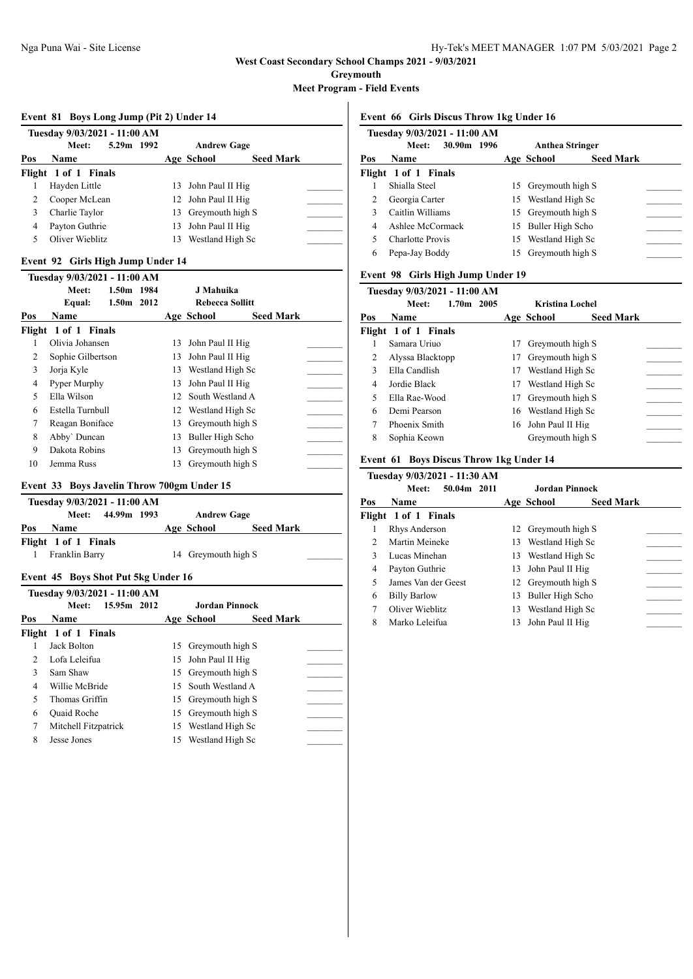**Greymouth**

**Meet Program - Field Events**

### **Event 81 Boys Long Jump (Pit 2) Under 14**

|     | Tuesday 9/03/2021 - 11:00 AM |    |                     |                  |  |
|-----|------------------------------|----|---------------------|------------------|--|
|     | 5.29m 1992<br>Meet:          |    | <b>Andrew Gage</b>  |                  |  |
| Pos | <b>Name</b>                  |    | Age School          | <b>Seed Mark</b> |  |
|     | Flight 1 of 1 Finals         |    |                     |                  |  |
|     | Hayden Little                |    | 13 John Paul II Hig |                  |  |
| 2   | Cooper McLean                |    | 12 John Paul II Hig |                  |  |
| 3   | Charlie Taylor               |    | 13 Greymouth high S |                  |  |
| 4   | Payton Guthrie               |    | 13 John Paul II Hig |                  |  |
|     | Oliver Wieblitz              | 13 | Westland High Sc    |                  |  |

## **Event 92 Girls High Jump Under 14**

|                          | Tuesday 9/03/2021 - 11:00 AM |            |    |                        |                  |  |
|--------------------------|------------------------------|------------|----|------------------------|------------------|--|
|                          | Meet:                        | 1.50m 1984 |    | J Mahuika              |                  |  |
|                          | Equal:                       | 1.50m 2012 |    | <b>Rebecca Sollitt</b> |                  |  |
| Pos                      | Name                         |            |    | Age School             | <b>Seed Mark</b> |  |
|                          | Flight 1 of 1 Finals         |            |    |                        |                  |  |
|                          | Olivia Johansen              |            | 13 | John Paul II Hig       |                  |  |
| 2                        | Sophie Gilbertson            |            | 13 | John Paul II Hig       |                  |  |
| 3                        | Jorja Kyle                   |            | 13 | Westland High Sc       |                  |  |
| 4                        | Pyper Murphy                 |            | 13 | John Paul II Hig       |                  |  |
| $\overline{\phantom{0}}$ | Ella Wilson                  |            |    | 12 South Westland A    |                  |  |
| 6                        | Estella Turnbull             |            | 12 | Westland High Sc       |                  |  |
| 7                        | Reagan Boniface              |            | 13 | Greymouth high S       |                  |  |
| 8                        | Abby' Duncan                 |            | 13 | Buller High Scho       |                  |  |
| 9                        | Dakota Robins                |            | 13 | Greymouth high S       |                  |  |
| 10                       | Jemma Russ                   |            | 13 | Grevmouth high S       |                  |  |

### **Event 33 Boys Javelin Throw 700gm Under 15**

|     |                      | Tuesday 9/03/2021 - 11:00 AM                  |                     |                  |  |
|-----|----------------------|-----------------------------------------------|---------------------|------------------|--|
|     |                      | Meet: 44.99m 1993                             | <b>Andrew Gage</b>  |                  |  |
| Pos | <b>Name</b>          |                                               | Age School          | <b>Seed Mark</b> |  |
|     | Flight 1 of 1 Finals |                                               |                     |                  |  |
|     | Franklin Barry       |                                               | 14 Greymouth high S |                  |  |
|     |                      | <b>Evant 45. Boys Shot Dut 5 Lg Under 16.</b> |                     |                  |  |

## **Event 45 Boys Shot Put 5kg Under 16**

|                | Tuesday 9/03/2021 - 11:00 AM |    |                     |                  |  |
|----------------|------------------------------|----|---------------------|------------------|--|
|                | 15.95m 2012<br>Meet:         |    | Jordan Pinnock      |                  |  |
| Pos            | <b>Name</b>                  |    | Age School          | <b>Seed Mark</b> |  |
|                | Flight 1 of 1 Finals         |    |                     |                  |  |
|                | Jack Bolton                  |    | 15 Greymouth high S |                  |  |
| $\mathfrak{D}$ | Lofa Leleifua                |    | 15 John Paul II Hig |                  |  |
| 3              | Sam Shaw                     |    | 15 Greymouth high S |                  |  |
| 4              | Willie McBride               |    | 15 South Westland A |                  |  |
| 5              | Thomas Griffin               |    | 15 Greymouth high S |                  |  |
| 6              | Quaid Roche                  |    | 15 Greymouth high S |                  |  |
|                | Mitchell Fitzpatrick         |    | 15 Westland High Sc |                  |  |
| 8              | Jesse Jones                  | 15 | Westland High Sc    |                  |  |
|                |                              |    |                     |                  |  |

### **Event 66 Girls Discus Throw 1kg Under 16**

|     | Tuesday 9/03/2021 - 11:00 AM |    |                        |                  |  |
|-----|------------------------------|----|------------------------|------------------|--|
|     | 30.90m 1996<br>Meet:         |    | <b>Anthea Stringer</b> |                  |  |
| Pos | Name                         |    | Age School             | <b>Seed Mark</b> |  |
|     | Flight 1 of 1 Finals         |    |                        |                  |  |
|     | Shialla Steel                | 15 | Greymouth high S       |                  |  |
| 2   | Georgia Carter               |    | 15 Westland High Sc    |                  |  |
|     | Caitlin Williams             |    | 15 Greymouth high S    |                  |  |
| 4   | Ashlee McCormack             |    | 15 Buller High Scho    |                  |  |
|     | <b>Charlotte Provis</b>      |    | 15 Westland High Sc    |                  |  |
| 6   | Pepa-Jay Boddy               | 15 | Greymouth high S       |                  |  |

## **Event 98 Girls High Jump Under 19**

|              | Tuesday 9/03/2021 - 11:00 AM |    |                     |                        |  |
|--------------|------------------------------|----|---------------------|------------------------|--|
|              | $1.70m$ 2005<br>Meet:        |    |                     | <b>Kristina Lochel</b> |  |
| Pos          | Name                         |    | Age School          | <b>Seed Mark</b>       |  |
|              | Flight 1 of 1 Finals         |    |                     |                        |  |
|              | Samara Uriuo                 | 17 | Greymouth high S    |                        |  |
| 2            | Alyssa Blacktopp             | 17 | Greymouth high S    |                        |  |
| $\mathbf{3}$ | Ella Candlish                | 17 | Westland High Sc    |                        |  |
| 4            | Jordie Black                 | 17 | Westland High Sc    |                        |  |
| 5            | Ella Rae-Wood                | 17 | Greymouth high S    |                        |  |
| 6            | Demi Pearson                 |    | 16 Westland High Sc |                        |  |
| 7            | Phoenix Smith                |    | 16 John Paul II Hig |                        |  |
| 8            | Sophia Keown                 |    | Greymouth high S    |                        |  |

### **Event 61 Boys Discus Throw 1kg Under 14**

|               | Tuesday 9/03/2021 - 11:30 AM  |     |                                |  |
|---------------|-------------------------------|-----|--------------------------------|--|
|               | $50.04m$ 2011<br><b>Meet:</b> |     | Jordan Pinnock                 |  |
| Pos           | <b>Name</b>                   |     | <b>Seed Mark</b><br>Age School |  |
|               | Flight 1 of 1 Finals          |     |                                |  |
|               | Rhys Anderson                 |     | 12 Greymouth high S            |  |
| $\mathcal{L}$ | Martin Meineke                |     | 13 Westland High Sc            |  |
| 3             | Lucas Minehan                 |     | 13 Westland High Sc            |  |
| 4             | Payton Guthrie                |     | 13 John Paul II Hig            |  |
| 5             | James Van der Geest           |     | 12 Greymouth high S            |  |
| 6             | <b>Billy Barlow</b>           | 13. | Buller High Scho               |  |
| 7             | Oliver Wieblitz               | 13. | Westland High Sc               |  |
| 8             | Marko Leleifua                | 13  | John Paul II Hig               |  |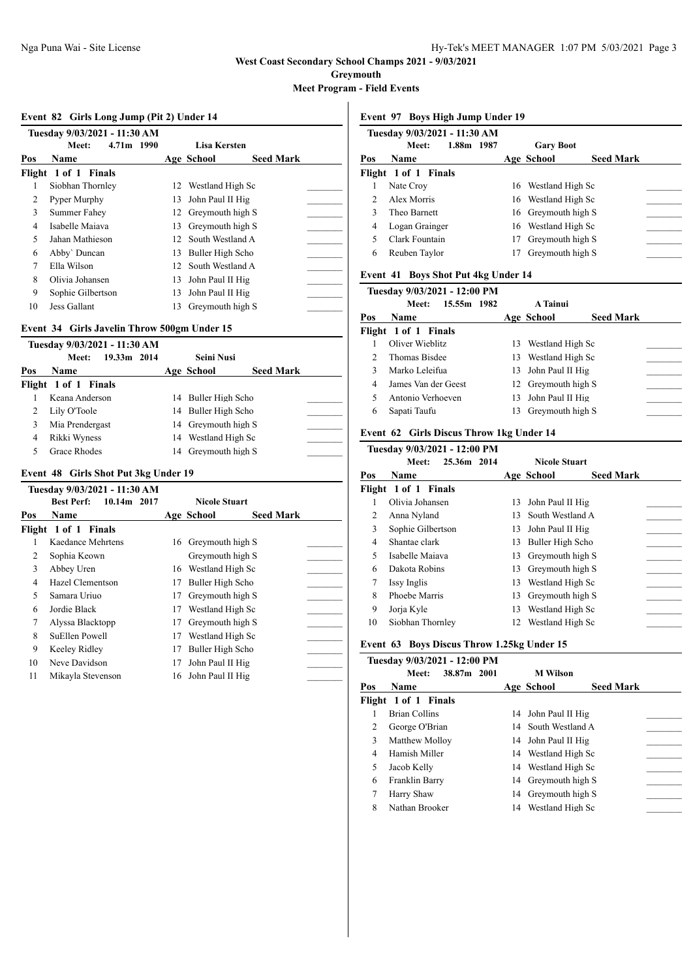**Greymouth**

**Meet Program - Field Events**

### **Event 82 Girls Long Jump (Pit 2) Under 14**

|     | Tuesday 9/03/2021 - 11:30 AM |                 |                                |  |
|-----|------------------------------|-----------------|--------------------------------|--|
|     | 4.71m 1990<br>Meet:          |                 | Lisa Kersten                   |  |
| Pos | Name                         |                 | <b>Seed Mark</b><br>Age School |  |
|     | Flight 1 of 1 Finals         |                 |                                |  |
|     | Siobhan Thornley             |                 | 12 Westland High Sc            |  |
| 2   | Pyper Murphy                 | 13              | John Paul II Hig               |  |
| 3   | Summer Fahey                 |                 | 12 Greymouth high S            |  |
| 4   | Isabelle Maiava              | 13              | Greymouth high S               |  |
| 5   | Jahan Mathieson              | 12 <sub>1</sub> | South Westland A               |  |
| 6   | Abby' Duncan                 | 13              | Buller High Scho               |  |
| 7   | Ella Wilson                  | 12 <sup>1</sup> | South Westland A               |  |
| 8   | Olivia Johansen              | 13              | John Paul II Hig               |  |
| 9   | Sophie Gilbertson            | 13              | John Paul II Hig               |  |
| 10  | Jess Gallant                 | 13              | Greymouth high S               |  |

## **Event 34 Girls Javelin Throw 500gm Under 15**

|     | Tuesday 9/03/2021 - 11:30 AM |                     |                  |  |
|-----|------------------------------|---------------------|------------------|--|
|     | 19.33m 2014<br>Meet:         | <b>Seini Nusi</b>   |                  |  |
| Pos | <b>Name</b>                  | Age School          | <b>Seed Mark</b> |  |
|     | Flight 1 of 1 Finals         |                     |                  |  |
|     | Keana Anderson               | 14 Buller High Scho |                  |  |
|     | Lily O'Toole                 | 14 Buller High Scho |                  |  |
| 3   | Mia Prendergast              | 14 Greymouth high S |                  |  |
| 4   | Rikki Wyness                 | 14 Westland High Sc |                  |  |
|     | Grace Rhodes                 | 14 Greymouth high S |                  |  |

### **Event 48 Girls Shot Put 3kg Under 19**

|     | Tuesday 9/03/2021 - 11:30 AM     |    |                      |                  |  |
|-----|----------------------------------|----|----------------------|------------------|--|
|     | <b>Best Perf:</b><br>10.14m 2017 |    | <b>Nicole Stuart</b> |                  |  |
| Pos | <b>Name</b>                      |    | Age School           | <b>Seed Mark</b> |  |
|     | Flight 1 of 1 Finals             |    |                      |                  |  |
|     | Kaedance Mehrtens                | 16 | Greymouth high S     |                  |  |
| 2   | Sophia Keown                     |    | Greymouth high S     |                  |  |
| 3   | Abbey Uren                       | 16 | Westland High Sc     |                  |  |
| 4   | Hazel Clementson                 | 17 | Buller High Scho     |                  |  |
| 5   | Samara Uriuo                     | 17 | Greymouth high S     |                  |  |
| 6   | Jordie Black                     | 17 | Westland High Sc     |                  |  |
| 7   | Alyssa Blacktopp                 | 17 | Greymouth high S     |                  |  |
| 8   | SuEllen Powell                   | 17 | Westland High Sc     |                  |  |
| 9   | Keeley Ridley                    | 17 | Buller High Scho     |                  |  |
| 10  | Neve Davidson                    | 17 | John Paul II Hig     |                  |  |
| 11  | Mikayla Stevenson                | 16 | John Paul II Hig     |                  |  |

#### **Event 97 Boys High Jump Under 19**

|                             | Tuesday 9/03/2021 - 11:30 AM |    |                     |                  |  |
|-----------------------------|------------------------------|----|---------------------|------------------|--|
|                             | 1.88m 1987<br>Meet:          |    | <b>Gary Boot</b>    |                  |  |
| Pos                         | Name                         |    | Age School          | <b>Seed Mark</b> |  |
|                             | Flight 1 of 1 Finals         |    |                     |                  |  |
|                             | Nate Croy                    |    | 16 Westland High Sc |                  |  |
| $\mathcal{D}_{\mathcal{L}}$ | Alex Morris                  |    | 16 Westland High Sc |                  |  |
| 3                           | Theo Barnett                 |    | 16 Grevmouth high S |                  |  |
| 4                           | Logan Grainger               |    | 16 Westland High Sc |                  |  |
| 5                           | Clark Fountain               | 17 | Greymouth high S    |                  |  |
| 6                           | Reuben Taylor                | 17 | Greymouth high S    |                  |  |

## **Event 41 Boys Shot Put 4kg Under 14**

|     | Tuesday 9/03/2021 - 12:00 PM |    |                     |                  |  |
|-----|------------------------------|----|---------------------|------------------|--|
|     | 15.55m 1982<br>Meet:         |    | A Tainui            |                  |  |
| Pos | Name                         |    | Age School          | <b>Seed Mark</b> |  |
|     | Flight 1 of 1 Finals         |    |                     |                  |  |
|     | Oliver Wieblitz              | 13 | Westland High Sc    |                  |  |
| 2   | Thomas Bisdee                |    | 13 Westland High Sc |                  |  |
| 3   | Marko Leleifua               |    | 13 John Paul II Hig |                  |  |
| 4   | James Van der Geest          |    | 12 Greymouth high S |                  |  |
|     | Antonio Verhoeven            |    | 13 John Paul II Hig |                  |  |
| 6   | Sapati Taufu                 | 13 | Greymouth high S    |                  |  |

## **Event 62 Girls Discus Throw 1kg Under 14**

|     | Tuesday 9/03/2021 - 12:00 PM |    |                      |                  |
|-----|------------------------------|----|----------------------|------------------|
|     | 25.36m 2014<br>Meet:         |    | <b>Nicole Stuart</b> |                  |
| Pos | Name                         |    | Age School           | <b>Seed Mark</b> |
|     | Flight 1 of 1 Finals         |    |                      |                  |
|     | Olivia Johansen              | 13 | John Paul II Hig     |                  |
| 2   | Anna Nyland                  | 13 | South Westland A     |                  |
| 3   | Sophie Gilbertson            | 13 | John Paul II Hig     |                  |
| 4   | Shantae clark                | 13 | Buller High Scho     |                  |
| 5   | Isabelle Maiava              | 13 | Greymouth high S     |                  |
| 6   | Dakota Robins                | 13 | Greymouth high S     |                  |
| 7   | Issy Inglis                  | 13 | Westland High Sc     |                  |
| 8   | Phoebe Marris                | 13 | Greymouth high S     |                  |
| 9   | Jorja Kyle                   | 13 | Westland High Sc     |                  |
| 10  | Siobhan Thornley             |    | 12 Westland High Sc  |                  |

### **Event 63 Boys Discus Throw 1.25kg Under 15**

|     | Tuesday 9/03/2021 - 12:00 PM |    |                     |                  |  |
|-----|------------------------------|----|---------------------|------------------|--|
|     | 38.87m 2001<br>Meet:         |    | <b>M</b> Wilson     |                  |  |
| Pos | Name                         |    | Age School          | <b>Seed Mark</b> |  |
|     | Flight 1 of 1 Finals         |    |                     |                  |  |
|     | <b>Brian Collins</b>         |    | 14 John Paul II Hig |                  |  |
| 2   | George O'Brian               |    | 14 South Westland A |                  |  |
| 3   | Matthew Molloy               |    | 14 John Paul II Hig |                  |  |
| 4   | Hamish Miller                |    | 14 Westland High Sc |                  |  |
| 5   | Jacob Kelly                  |    | 14 Westland High Sc |                  |  |
| 6   | Franklin Barry               |    | 14 Greymouth high S |                  |  |
|     | Harry Shaw                   |    | 14 Grevmouth high S |                  |  |
| 8   | Nathan Brooker               | 14 | Westland High Sc    |                  |  |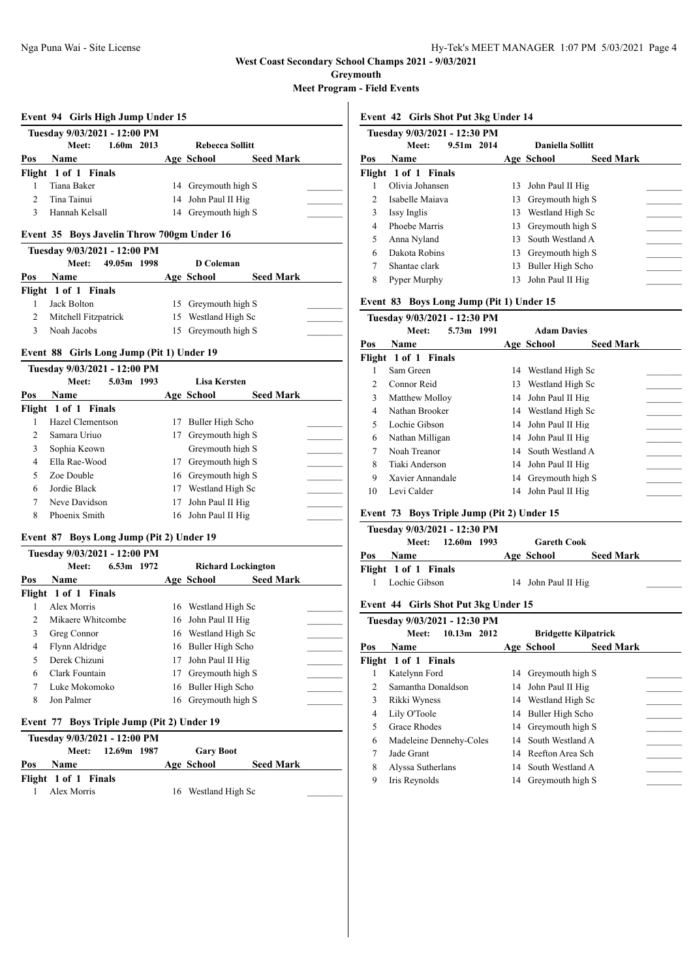**Greymouth**

**Meet Program - Field Events**

### **Event 94 Girls High Jump Under 15**

| Tuesday 9/03/2021 - 12:00 PM |                       |  |                     |                  |  |  |  |
|------------------------------|-----------------------|--|---------------------|------------------|--|--|--|
|                              | $1.60m$ 2013<br>Meet: |  |                     | Rebecca Sollitt  |  |  |  |
| Pos                          | <b>Name</b>           |  | Age School          | <b>Seed Mark</b> |  |  |  |
|                              | Flight 1 of 1 Finals  |  |                     |                  |  |  |  |
|                              | Tiana Baker           |  | 14 Greymouth high S |                  |  |  |  |
|                              | Tina Tainui           |  | 14 John Paul II Hig |                  |  |  |  |
|                              | Hannah Kelsall        |  | 14 Greymouth high S |                  |  |  |  |

## **Event 35 Boys Javelin Throw 700gm Under 16**

**Tuesday 9/03/2021 - 12:00 PM**

|     | <b>TUCSUAY</b> 7/03/2021 - 12.00 T M |                     |                  |  |
|-----|--------------------------------------|---------------------|------------------|--|
|     | 49.05m 1998<br>Meet:                 | <b>D</b> Coleman    |                  |  |
| Pos | <b>Name</b>                          | Age School          | <b>Seed Mark</b> |  |
|     | Flight 1 of 1 Finals                 |                     |                  |  |
|     | Jack Bolton                          | 15 Greymouth high S |                  |  |
|     | Mitchell Fitzpatrick                 | 15 Westland High Sc |                  |  |
|     | Noah Jacobs                          | 15 Greymouth high S |                  |  |

### **Event 88 Girls Long Jump (Pit 1) Under 19**

|               | Tuesday 9/03/2021 - 12:00 PM |    |                     |                  |
|---------------|------------------------------|----|---------------------|------------------|
|               | 5.03m 1993<br>Meet:          |    | Lisa Kersten        |                  |
| Pos           | Name                         |    | Age School          | <b>Seed Mark</b> |
|               | Flight 1 of 1 Finals         |    |                     |                  |
|               | Hazel Clementson             | 17 | Buller High Scho    |                  |
| $\mathcal{L}$ | Samara Uriuo                 | 17 | Greymouth high S    |                  |
| 3             | Sophia Keown                 |    | Greymouth high S    |                  |
| 4             | Ella Rae-Wood                | 17 | Greymouth high S    |                  |
| 5             | Zoe Double                   |    | 16 Greymouth high S |                  |
| 6             | Jordie Black                 | 17 | Westland High Sc    |                  |
|               | Neve Davidson                | 17 | John Paul II Hig    |                  |
| 8             | Phoenix Smith                |    | 16 John Paul II Hig |                  |

### **Event 87 Boys Long Jump (Pit 2) Under 19**

|               | Tuesday 9/03/2021 - 12:00 PM |    |                                |  |
|---------------|------------------------------|----|--------------------------------|--|
|               | 6.53m 1972<br>Meet:          |    | <b>Richard Lockington</b>      |  |
| Pos           | <b>Name</b>                  |    | <b>Seed Mark</b><br>Age School |  |
|               | Flight 1 of 1 Finals         |    |                                |  |
|               | Alex Morris                  |    | 16 Westland High Sc            |  |
| $\mathcal{D}$ | Mikaere Whitcombe            |    | 16 John Paul II Hig            |  |
| 3             | Greg Connor                  |    | 16 Westland High Sc            |  |
| 4             | Flynn Aldridge               |    | 16 Buller High Scho            |  |
| 5             | Derek Chizuni                | 17 | John Paul II Hig               |  |
| 6             | Clark Fountain               | 17 | Greymouth high S               |  |
| 7             | Luke Mokomoko                |    | 16 Buller High Scho            |  |
| 8             | Jon Palmer                   | 16 | Greymouth high S               |  |
|               |                              |    |                                |  |

## **Event 77 Boys Triple Jump (Pit 2) Under 19**

|     | Tuesday 9/03/2021 - 12:00 PM |                   |  |  |                     |  |                  |  |  |
|-----|------------------------------|-------------------|--|--|---------------------|--|------------------|--|--|
|     |                              | Meet: 12.69m 1987 |  |  | <b>Gary Boot</b>    |  |                  |  |  |
| Pos | <b>Name</b>                  |                   |  |  | Age School          |  | <b>Seed Mark</b> |  |  |
|     | Flight 1 of 1 Finals         |                   |  |  |                     |  |                  |  |  |
|     | Alex Morris                  |                   |  |  | 16 Westland High Sc |  |                  |  |  |

### **Event 42 Girls Shot Put 3kg Under 14**

|                | Tuesday 9/03/2021 - 12:30 PM |              |     |                         |                  |  |
|----------------|------------------------------|--------------|-----|-------------------------|------------------|--|
|                | Meet:                        | $9.51m$ 2014 |     | <b>Daniella Sollitt</b> |                  |  |
| Pos            | Name                         |              |     | Age School              | <b>Seed Mark</b> |  |
|                | Flight 1 of 1 Finals         |              |     |                         |                  |  |
|                | Olivia Johansen              |              | 13  | John Paul II Hig        |                  |  |
| $\mathfrak{D}$ | Isabelle Maiava              |              | 13  | Greymouth high S        |                  |  |
| 3              | Issy Inglis                  |              | 13  | Westland High Sc        |                  |  |
| 4              | Phoebe Marris                |              | 13  | Greymouth high S        |                  |  |
| 5              | Anna Nyland                  |              | 13. | South Westland A        |                  |  |
| 6              | Dakota Robins                |              | 13  | Greymouth high S        |                  |  |
| 7              | Shantae clark                |              | 13  | Buller High Scho        |                  |  |
| 8              | Pyper Murphy                 |              | 13  | John Paul II Hig        |                  |  |

# **Event 83 Boys Long Jump (Pit 1) Under 15**

|               | Tuesday 9/03/2021 - 12:30 PM |    |                     |                  |
|---------------|------------------------------|----|---------------------|------------------|
|               | Meet:<br>5.73m 1991          |    | <b>Adam Davies</b>  |                  |
| Pos           | <b>Name</b>                  |    | Age School          | <b>Seed Mark</b> |
|               | Flight 1 of 1 Finals         |    |                     |                  |
|               | Sam Green                    |    | 14 Westland High Sc |                  |
| $\mathcal{L}$ | Connor Reid                  |    | 13 Westland High Sc |                  |
| 3             | Matthew Molloy               |    | 14 John Paul II Hig |                  |
| 4             | Nathan Brooker               |    | 14 Westland High Sc |                  |
| 5             | Lochie Gibson                |    | 14 John Paul II Hig |                  |
| 6             | Nathan Milligan              |    | 14 John Paul II Hig |                  |
| 7             | Noah Treanor                 |    | 14 South Westland A |                  |
| 8             | Tiaki Anderson               | 14 | John Paul II Hig    |                  |
| 9             | Xavier Annandale             | 14 | Greymouth high S    |                  |
| 10            | Levi Calder                  | 14 | John Paul II Hig    |                  |

## **Event 73 Boys Triple Jump (Pit 2) Under 15**

|     | Tuesday 9/03/2021 - 12:30 PM |                   |  |                     |                  |  |  |  |
|-----|------------------------------|-------------------|--|---------------------|------------------|--|--|--|
|     |                              | Meet: 12.60m 1993 |  | <b>Gareth Cook</b>  |                  |  |  |  |
| Pos | <b>Name</b>                  |                   |  | Age School          | <b>Seed Mark</b> |  |  |  |
|     | Flight 1 of 1 Finals         |                   |  |                     |                  |  |  |  |
|     | Lochie Gibson                |                   |  | 14 John Paul II Hig |                  |  |  |  |

## **Event 44 Girls Shot Put 3kg Under 15**

|                | Tuesday 9/03/2021 - 12:30 PM |    |                                |  |
|----------------|------------------------------|----|--------------------------------|--|
|                | 10.13m 2012<br>Meet:         |    | <b>Bridgette Kilpatrick</b>    |  |
| Pos            | <b>Name</b>                  |    | <b>Seed Mark</b><br>Age School |  |
|                | Flight 1 of 1 Finals         |    |                                |  |
|                | Katelynn Ford                | 14 | Greymouth high S               |  |
| $\mathfrak{D}$ | Samantha Donaldson           |    | 14 John Paul II Hig            |  |
| 3              | Rikki Wyness                 |    | 14 Westland High Sc            |  |
| 4              | Lily O'Toole                 |    | 14 Buller High Scho            |  |
| 5              | Grace Rhodes                 |    | 14 Greymouth high S            |  |
| 6              | Madeleine Dennehy-Coles      |    | 14 South Westland A            |  |
| 7              | Jade Grant                   |    | 14 Reefton Area Sch            |  |
| 8              | Alyssa Sutherlans            |    | 14 South Westland A            |  |
| 9              | Iris Reynolds                | 14 | Greymouth high S               |  |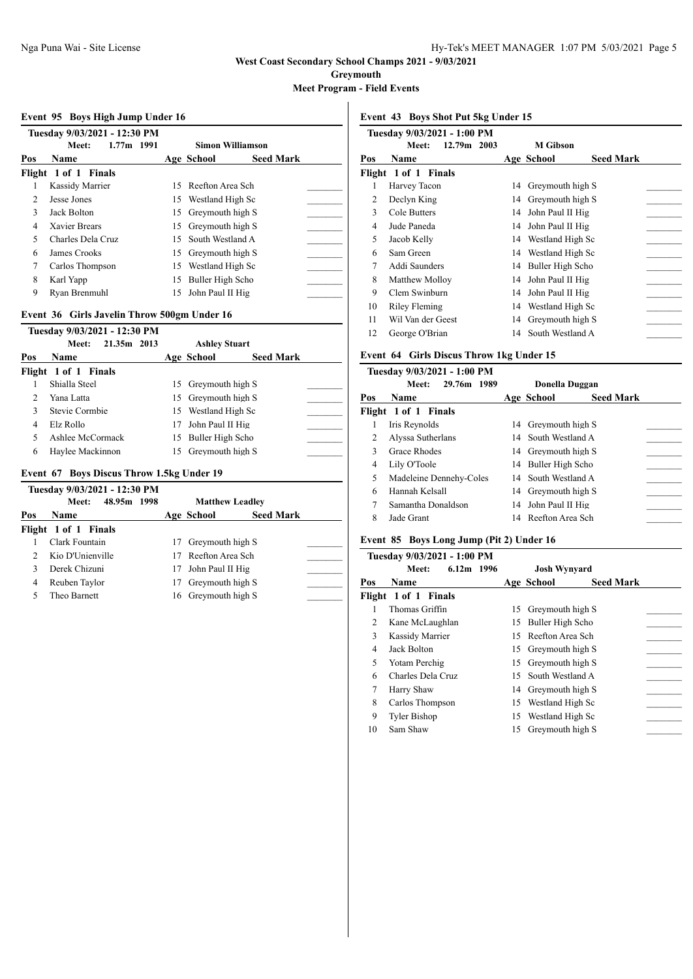**Greymouth**

**Meet Program - Field Events**

### **Event 95 Boys High Jump Under 16**

|                | Tuesday 9/03/2021 - 12:30 PM |              |    |                     |                         |  |
|----------------|------------------------------|--------------|----|---------------------|-------------------------|--|
|                | Meet:                        | $1.77m$ 1991 |    |                     | <b>Simon Williamson</b> |  |
| Pos            | <b>Name</b>                  |              |    | Age School          | <b>Seed Mark</b>        |  |
|                | Flight 1 of 1 Finals         |              |    |                     |                         |  |
|                | Kassidy Marrier              |              |    | 15 Reefton Area Sch |                         |  |
| $\mathfrak{D}$ | Jesse Jones                  |              |    | 15 Westland High Sc |                         |  |
| 3              | Jack Bolton                  |              | 15 | Greymouth high S    |                         |  |
| 4              | Xavier Brears                |              | 15 | Greymouth high S    |                         |  |
| 5              | Charles Dela Cruz            |              |    | 15 South Westland A |                         |  |
| 6              | James Crooks                 |              |    | 15 Greymouth high S |                         |  |
| 7              | Carlos Thompson              |              | 15 | Westland High Sc    |                         |  |
| 8              | Karl Yapp                    |              | 15 | Buller High Scho    |                         |  |
| 9              | Rvan Brenmuhl                |              |    | 15 John Paul II Hig |                         |  |

## **Event 36 Girls Javelin Throw 500gm Under 16**

|               | Tuesday 9/03/2021 - 12:30 PM |                      |                  |  |
|---------------|------------------------------|----------------------|------------------|--|
|               | 21.35m 2013<br>Meet:         | <b>Ashley Stuart</b> |                  |  |
| Pos           | <b>Name</b>                  | Age School           | <b>Seed Mark</b> |  |
|               | Flight 1 of 1 Finals         |                      |                  |  |
|               | Shialla Steel                | 15 Greymouth high S  |                  |  |
| $\mathcal{L}$ | Yana Latta                   | 15 Greymouth high S  |                  |  |
| 3             | Stevie Cormbie               | 15 Westland High Sc  |                  |  |
| 4             | Elz Rollo                    | 17 John Paul II Hig  |                  |  |
| 5             | Ashlee McCormack             | 15 Buller High Scho  |                  |  |
| 6             | Haylee Mackinnon             | 15 Grevmouth high S  |                  |  |

### **Event 67 Boys Discus Throw 1.5kg Under 19**

|     | Tuesday 9/03/2021 - 12:30 PM |     |                     |                        |  |
|-----|------------------------------|-----|---------------------|------------------------|--|
|     | 48.95m 1998<br>Meet:         |     |                     | <b>Matthew Leadley</b> |  |
| Pos | <b>Name</b>                  |     | Age School          | <b>Seed Mark</b>       |  |
|     | Flight 1 of 1 Finals         |     |                     |                        |  |
|     | Clark Fountain               | 17  | Greymouth high S    |                        |  |
|     | Kio D'Unienville             |     | 17 Reefton Area Sch |                        |  |
| 3   | Derek Chizuni                |     | 17 John Paul II Hig |                        |  |
| 4   | Reuben Taylor                | 17. | Greymouth high S    |                        |  |
|     | Theo Barnett                 |     | 16 Greymouth high S |                        |  |

**Event 43 Boys Shot Put 5kg Under 15**

|     | Tuesday 9/03/2021 - 1:00 PM |    |                  |                  |
|-----|-----------------------------|----|------------------|------------------|
|     | 12.79m 2003<br>Meet:        |    | M Gibson         |                  |
| Pos | Name                        |    | Age School       | <b>Seed Mark</b> |
|     | Flight 1 of 1 Finals        |    |                  |                  |
| 1   | Harvey Tacon                | 14 | Greymouth high S |                  |
| 2   | Declyn King                 | 14 | Greymouth high S |                  |
| 3   | Cole Butters                | 14 | John Paul II Hig |                  |
| 4   | Jude Paneda                 | 14 | John Paul II Hig |                  |
| 5   | Jacob Kelly                 | 14 | Westland High Sc |                  |
| 6   | Sam Green                   | 14 | Westland High Sc |                  |
| 7   | Addi Saunders               | 14 | Buller High Scho |                  |
| 8   | Matthew Molloy              | 14 | John Paul II Hig |                  |
| 9   | Clem Swinburn               | 14 | John Paul II Hig |                  |
| 10  | Riley Fleming               | 14 | Westland High Sc |                  |
| 11  | Wil Van der Geest           | 14 | Greymouth high S |                  |
| 12  | George O'Brian              | 14 | South Westland A |                  |
|     |                             |    |                  |                  |

### **Event 64 Girls Discus Throw 1kg Under 15**

|     | Tuesday 9/03/2021 - 1:00 PM |    |                                |
|-----|-----------------------------|----|--------------------------------|
|     | 29.76m 1989<br>Meet:        |    | Donella Duggan                 |
| Pos | Name                        |    | <b>Seed Mark</b><br>Age School |
|     | Flight 1 of 1 Finals        |    |                                |
| 1   | Iris Reynolds               |    | 14 Greymouth high S            |
| 2   | Alyssa Sutherlans           |    | 14 South Westland A            |
| 3   | Grace Rhodes                |    | 14 Greymouth high S            |
| 4   | Lily O'Toole                |    | 14 Buller High Scho            |
| 5   | Madeleine Dennehy-Coles     |    | 14 South Westland A            |
| 6   | Hannah Kelsall              |    | 14 Greymouth high S            |
| 7   | Samantha Donaldson          |    | 14 John Paul II Hig            |
| 8   | Jade Grant                  | 14 | Reefton Area Sch               |
|     |                             |    |                                |

## **Event 85 Boys Long Jump (Pit 2) Under 16**

|     | Tuesday 9/03/2021 - 1:00 PM |    |                                |
|-----|-----------------------------|----|--------------------------------|
|     | $6.12m$ 1996<br>Meet:       |    | <b>Josh Wynyard</b>            |
| Pos | <b>Name</b>                 |    | <b>Seed Mark</b><br>Age School |
|     | Flight 1 of 1 Finals        |    |                                |
|     | Thomas Griffin              | 15 | Greymouth high S               |
| 2   | Kane McLaughlan             | 15 | Buller High Scho               |
| 3   | Kassidy Marrier             | 15 | Reefton Area Sch               |
| 4   | Jack Bolton                 | 15 | Greymouth high S               |
| 5   | Yotam Perchig               | 15 | Greymouth high S               |
| 6   | Charles Dela Cruz           | 15 | South Westland A               |
| 7   | Harry Shaw                  | 14 | Greymouth high S               |
| 8   | Carlos Thompson             | 15 | Westland High Sc               |
| 9   | Tyler Bishop                | 15 | Westland High Sc               |
| 10  | Sam Shaw                    | 15 | Greymouth high S               |